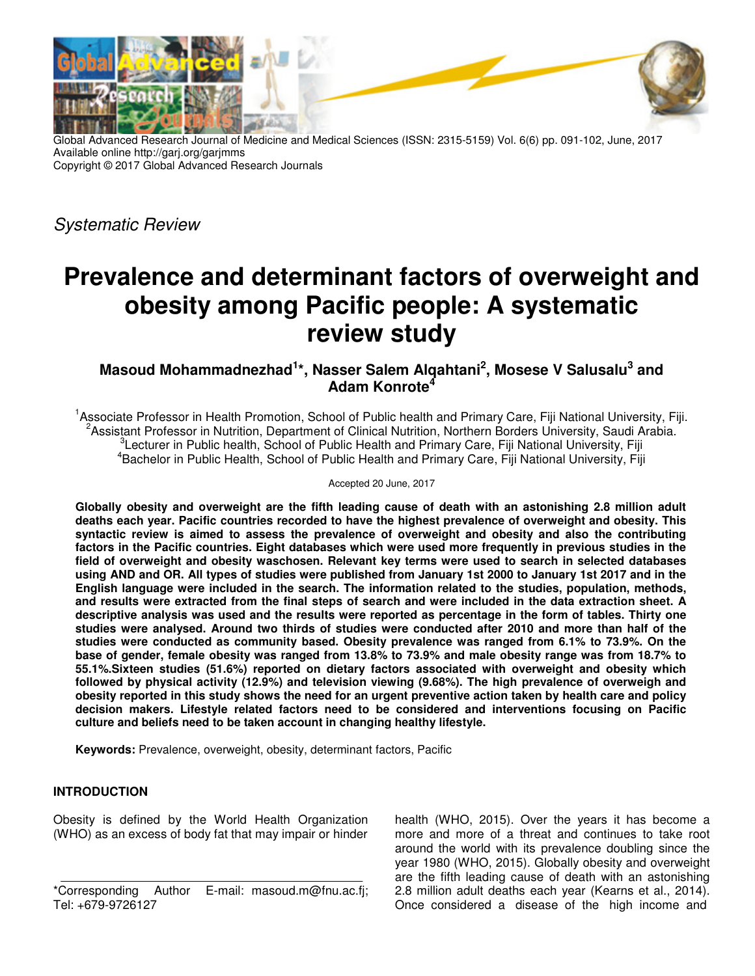

Global Advanced Research Journal of Medicine and Medical Sciences (ISSN: 2315-5159) Vol. 6(6) pp. 091-102, June, 2017 Available online http://garj.org/garjmms Copyright © 2017 Global Advanced Research Journals

Systematic Review

# **Prevalence and determinant factors of overweight and obesity among Pacific people: A systematic review study**

## **Masoud Mohammadnezhad<sup>1</sup> \*, Nasser Salem Alqahtani<sup>2</sup> , Mosese V Salusalu<sup>3</sup> and Adam Konrote<sup>4</sup>**

<sup>1</sup>Associate Professor in Health Promotion, School of Public health and Primary Care, Fiji National University, Fiji. <sup>2</sup> Assistant Professor in Nutrition, Department of Clinical Nutrition, Northern Borders University, Saudi Arabia.  ${}^{3}$ Lecturer in Public health, School of Public Health and Primary Care, Fiji National University, Fiji <sup>4</sup> Bachelor in Public Health, School of Public Health and Primary Care, Fiji National University, Fiji

Accepted 20 June, 2017

**Globally obesity and overweight are the fifth leading cause of death with an astonishing 2.8 million adult deaths each year. Pacific countries recorded to have the highest prevalence of overweight and obesity. This syntactic review is aimed to assess the prevalence of overweight and obesity and also the contributing factors in the Pacific countries. Eight databases which were used more frequently in previous studies in the field of overweight and obesity waschosen. Relevant key terms were used to search in selected databases using AND and OR. All types of studies were published from January 1st 2000 to January 1st 2017 and in the English language were included in the search. The information related to the studies, population, methods, and results were extracted from the final steps of search and were included in the data extraction sheet. A descriptive analysis was used and the results were reported as percentage in the form of tables. Thirty one studies were analysed. Around two thirds of studies were conducted after 2010 and more than half of the studies were conducted as community based. Obesity prevalence was ranged from 6.1% to 73.9%. On the base of gender, female obesity was ranged from 13.8% to 73.9% and male obesity range was from 18.7% to 55.1%.Sixteen studies (51.6%) reported on dietary factors associated with overweight and obesity which followed by physical activity (12.9%) and television viewing (9.68%). The high prevalence of overweigh and obesity reported in this study shows the need for an urgent preventive action taken by health care and policy decision makers. Lifestyle related factors need to be considered and interventions focusing on Pacific culture and beliefs need to be taken account in changing healthy lifestyle.** 

**Keywords:** Prevalence, overweight, obesity, determinant factors, Pacific

## **INTRODUCTION**

Obesity is defined by the World Health Organization (WHO) as an excess of body fat that may impair or hinder

health (WHO, 2015). Over the years it has become a more and more of a threat and continues to take root around the world with its prevalence doubling since the year 1980 (WHO, 2015). Globally obesity and overweight are the fifth leading cause of death with an astonishing 2.8 million adult deaths each year (Kearns et al., 2014). Once considered a disease of the high income and

<sup>\*</sup>Corresponding Author E-mail: masoud.m@fnu.ac.fj; Tel: +679-9726127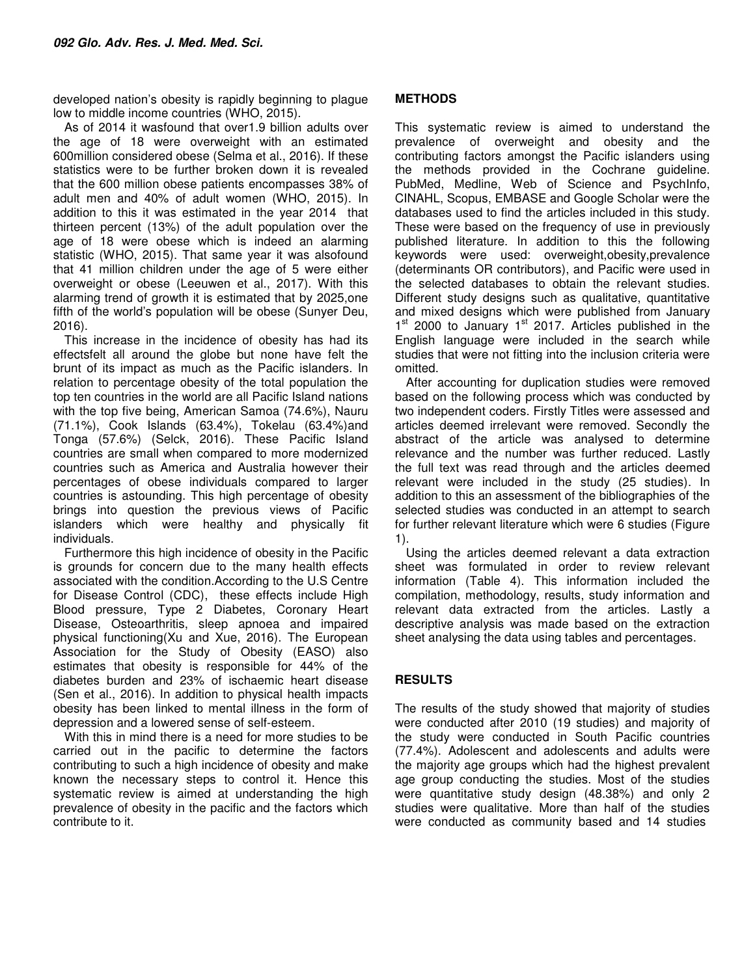developed nation's obesity is rapidly beginning to plague low to middle income countries (WHO, 2015).

As of 2014 it wasfound that over1.9 billion adults over the age of 18 were overweight with an estimated 600million considered obese (Selma et al., 2016). If these statistics were to be further broken down it is revealed that the 600 million obese patients encompasses 38% of adult men and 40% of adult women (WHO, 2015). In addition to this it was estimated in the year 2014 that thirteen percent (13%) of the adult population over the age of 18 were obese which is indeed an alarming statistic (WHO, 2015). That same year it was alsofound that 41 million children under the age of 5 were either overweight or obese (Leeuwen et al., 2017). With this alarming trend of growth it is estimated that by 2025,one fifth of the world's population will be obese (Sunyer Deu, 2016).

This increase in the incidence of obesity has had its effectsfelt all around the globe but none have felt the brunt of its impact as much as the Pacific islanders. In relation to percentage obesity of the total population the top ten countries in the world are all Pacific Island nations with the top five being, American Samoa (74.6%), Nauru (71.1%), Cook Islands (63.4%), Tokelau (63.4%)and Tonga (57.6%) (Selck, 2016). These Pacific Island countries are small when compared to more modernized countries such as America and Australia however their percentages of obese individuals compared to larger countries is astounding. This high percentage of obesity brings into question the previous views of Pacific islanders which were healthy and physically fit individuals.

Furthermore this high incidence of obesity in the Pacific is grounds for concern due to the many health effects associated with the condition.According to the U.S Centre for Disease Control (CDC), these effects include High Blood pressure, Type 2 Diabetes, Coronary Heart Disease, Osteoarthritis, sleep apnoea and impaired physical functioning(Xu and Xue, 2016). The European Association for the Study of Obesity (EASO) also estimates that obesity is responsible for 44% of the diabetes burden and 23% of ischaemic heart disease (Sen et al., 2016). In addition to physical health impacts obesity has been linked to mental illness in the form of depression and a lowered sense of self-esteem.

With this in mind there is a need for more studies to be carried out in the pacific to determine the factors contributing to such a high incidence of obesity and make known the necessary steps to control it. Hence this systematic review is aimed at understanding the high prevalence of obesity in the pacific and the factors which contribute to it.

## **METHODS**

This systematic review is aimed to understand the prevalence of overweight and obesity and the contributing factors amongst the Pacific islanders using the methods provided in the Cochrane guideline. PubMed, Medline, Web of Science and PsychInfo, CINAHL, Scopus, EMBASE and Google Scholar were the databases used to find the articles included in this study. These were based on the frequency of use in previously published literature. In addition to this the following keywords were used: overweight,obesity,prevalence (determinants OR contributors), and Pacific were used in the selected databases to obtain the relevant studies. Different study designs such as qualitative, quantitative and mixed designs which were published from January 1<sup>st</sup> 2000 to January 1<sup>st</sup> 2017. Articles published in the English language were included in the search while studies that were not fitting into the inclusion criteria were omitted.

After accounting for duplication studies were removed based on the following process which was conducted by two independent coders. Firstly Titles were assessed and articles deemed irrelevant were removed. Secondly the abstract of the article was analysed to determine relevance and the number was further reduced. Lastly the full text was read through and the articles deemed relevant were included in the study (25 studies). In addition to this an assessment of the bibliographies of the selected studies was conducted in an attempt to search for further relevant literature which were 6 studies (Figure 1).

Using the articles deemed relevant a data extraction sheet was formulated in order to review relevant information (Table 4). This information included the compilation, methodology, results, study information and relevant data extracted from the articles. Lastly a descriptive analysis was made based on the extraction sheet analysing the data using tables and percentages.

### **RESULTS**

The results of the study showed that majority of studies were conducted after 2010 (19 studies) and majority of the study were conducted in South Pacific countries (77.4%). Adolescent and adolescents and adults were the majority age groups which had the highest prevalent age group conducting the studies. Most of the studies were quantitative study design (48.38%) and only 2 studies were qualitative. More than half of the studies were conducted as community based and 14 studies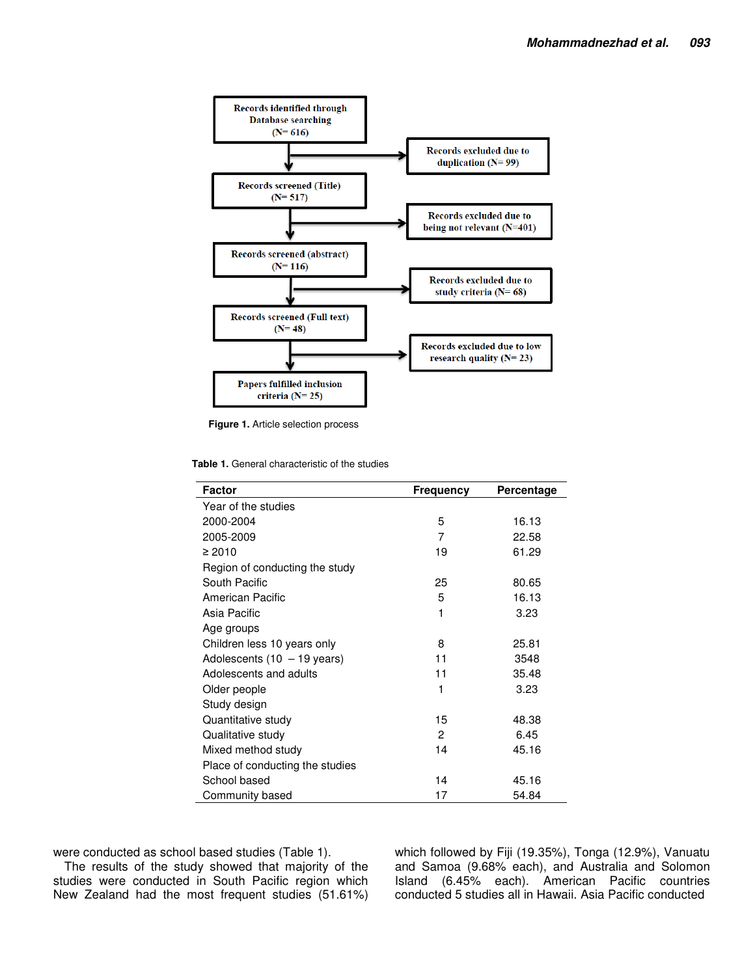

**Figure 1.** Article selection process

**Table 1.** General characteristic of the studies

| <b>Factor</b>                   | <b>Frequency</b> | Percentage |
|---------------------------------|------------------|------------|
| Year of the studies             |                  |            |
| 2000-2004                       | 5                | 16.13      |
| 2005-2009                       | 7                | 22.58      |
| $\geq 2010$                     | 19               | 61.29      |
| Region of conducting the study  |                  |            |
| South Pacific                   | 25               | 80.65      |
| American Pacific                | 5                | 16.13      |
| Asia Pacific                    | 1                | 3.23       |
| Age groups                      |                  |            |
| Children less 10 years only     | 8                | 25.81      |
| Adolescents $(10 - 19$ years)   | 11               | 3548       |
| Adolescents and adults          | 11               | 35.48      |
| Older people                    | 1                | 3.23       |
| Study design                    |                  |            |
| Quantitative study              | 15               | 48.38      |
| Qualitative study               | $\overline{c}$   | 6.45       |
| Mixed method study              | 14               | 45.16      |
| Place of conducting the studies |                  |            |
| School based                    | 14               | 45.16      |
| Community based                 | 17               | 54.84      |

were conducted as school based studies (Table 1).

The results of the study showed that majority of the studies were conducted in South Pacific region which New Zealand had the most frequent studies (51.61%) which followed by Fiji (19.35%), Tonga (12.9%), Vanuatu and Samoa (9.68% each), and Australia and Solomon Island (6.45% each). American Pacific countries conducted 5 studies all in Hawaii. Asia Pacific conducted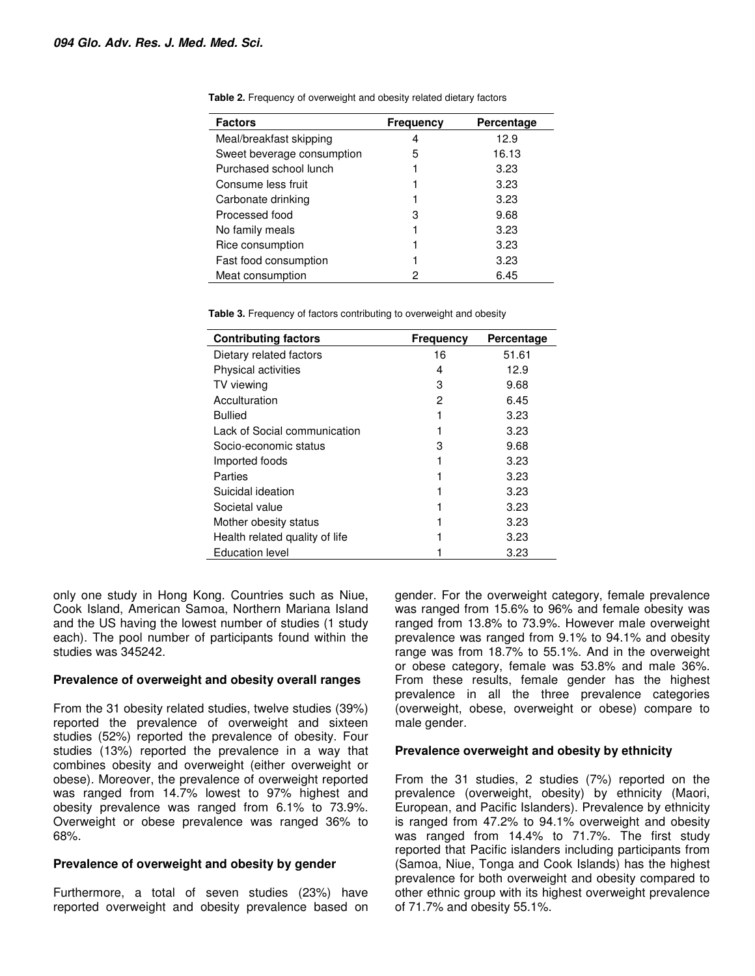| <b>Factors</b>             | Frequency | Percentage |
|----------------------------|-----------|------------|
| Meal/breakfast skipping    | 4         | 12.9       |
| Sweet beverage consumption | 5         | 16.13      |
| Purchased school lunch     |           | 3.23       |
| Consume less fruit         |           | 3.23       |
| Carbonate drinking         |           | 3.23       |
| Processed food             | 3         | 9.68       |
| No family meals            |           | 3.23       |
| Rice consumption           |           | 3.23       |
| Fast food consumption      |           | 3.23       |
| Meat consumption           | 2         | 6.45       |

**Table 2.** Frequency of overweight and obesity related dietary factors

**Table 3.** Frequency of factors contributing to overweight and obesity

| <b>Contributing factors</b>    | <b>Frequency</b> | Percentage |
|--------------------------------|------------------|------------|
| Dietary related factors        | 16               | 51.61      |
| <b>Physical activities</b>     | 4                | 12.9       |
| TV viewing                     | 3                | 9.68       |
| Acculturation                  | 2                | 6.45       |
| Bullied                        |                  | 3.23       |
| Lack of Social communication   |                  | 3.23       |
| Socio-economic status          | з                | 9.68       |
| Imported foods                 |                  | 3.23       |
| Parties                        |                  | 3.23       |
| Suicidal ideation              |                  | 3.23       |
| Societal value                 |                  | 3.23       |
| Mother obesity status          |                  | 3.23       |
| Health related quality of life |                  | 3.23       |
| <b>Education level</b>         |                  | 3.23       |

only one study in Hong Kong. Countries such as Niue, Cook Island, American Samoa, Northern Mariana Island and the US having the lowest number of studies (1 study each). The pool number of participants found within the studies was 345242.

#### **Prevalence of overweight and obesity overall ranges**

From the 31 obesity related studies, twelve studies (39%) reported the prevalence of overweight and sixteen studies (52%) reported the prevalence of obesity. Four studies (13%) reported the prevalence in a way that combines obesity and overweight (either overweight or obese). Moreover, the prevalence of overweight reported was ranged from 14.7% lowest to 97% highest and obesity prevalence was ranged from 6.1% to 73.9%. Overweight or obese prevalence was ranged 36% to 68%.

#### **Prevalence of overweight and obesity by gender**

Furthermore, a total of seven studies (23%) have reported overweight and obesity prevalence based on

gender. For the overweight category, female prevalence was ranged from 15.6% to 96% and female obesity was ranged from 13.8% to 73.9%. However male overweight prevalence was ranged from 9.1% to 94.1% and obesity range was from 18.7% to 55.1%. And in the overweight or obese category, female was 53.8% and male 36%. From these results, female gender has the highest prevalence in all the three prevalence categories (overweight, obese, overweight or obese) compare to male gender.

#### **Prevalence overweight and obesity by ethnicity**

From the 31 studies, 2 studies (7%) reported on the prevalence (overweight, obesity) by ethnicity (Maori, European, and Pacific Islanders). Prevalence by ethnicity is ranged from 47.2% to 94.1% overweight and obesity was ranged from 14.4% to 71.7%. The first study reported that Pacific islanders including participants from (Samoa, Niue, Tonga and Cook Islands) has the highest prevalence for both overweight and obesity compared to other ethnic group with its highest overweight prevalence of 71.7% and obesity 55.1%.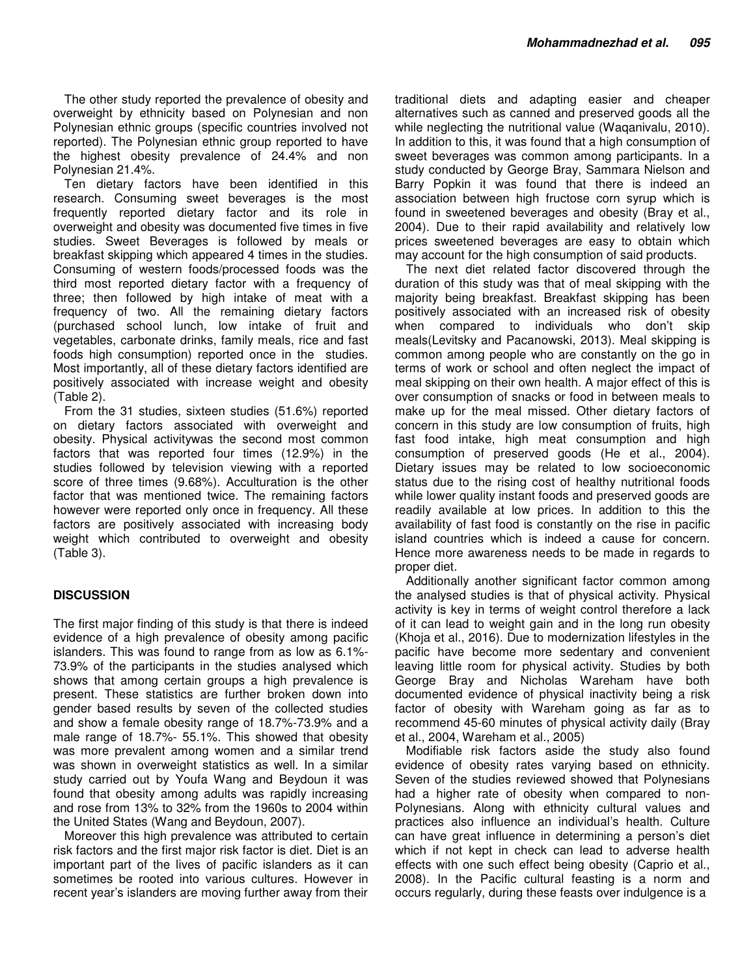The other study reported the prevalence of obesity and overweight by ethnicity based on Polynesian and non Polynesian ethnic groups (specific countries involved not reported). The Polynesian ethnic group reported to have the highest obesity prevalence of 24.4% and non Polynesian 21.4%.

Ten dietary factors have been identified in this research. Consuming sweet beverages is the most frequently reported dietary factor and its role in overweight and obesity was documented five times in five studies. Sweet Beverages is followed by meals or breakfast skipping which appeared 4 times in the studies. Consuming of western foods/processed foods was the third most reported dietary factor with a frequency of three; then followed by high intake of meat with a frequency of two. All the remaining dietary factors (purchased school lunch, low intake of fruit and vegetables, carbonate drinks, family meals, rice and fast foods high consumption) reported once in the studies. Most importantly, all of these dietary factors identified are positively associated with increase weight and obesity (Table 2).

From the 31 studies, sixteen studies (51.6%) reported on dietary factors associated with overweight and obesity. Physical activitywas the second most common factors that was reported four times (12.9%) in the studies followed by television viewing with a reported score of three times (9.68%). Acculturation is the other factor that was mentioned twice. The remaining factors however were reported only once in frequency. All these factors are positively associated with increasing body weight which contributed to overweight and obesity (Table 3).

## **DISCUSSION**

The first major finding of this study is that there is indeed evidence of a high prevalence of obesity among pacific islanders. This was found to range from as low as 6.1%- 73.9% of the participants in the studies analysed which shows that among certain groups a high prevalence is present. These statistics are further broken down into gender based results by seven of the collected studies and show a female obesity range of 18.7%-73.9% and a male range of 18.7%- 55.1%. This showed that obesity was more prevalent among women and a similar trend was shown in overweight statistics as well. In a similar study carried out by Youfa Wang and Beydoun it was found that obesity among adults was rapidly increasing and rose from 13% to 32% from the 1960s to 2004 within the United States (Wang and Beydoun, 2007).

Moreover this high prevalence was attributed to certain risk factors and the first major risk factor is diet. Diet is an important part of the lives of pacific islanders as it can sometimes be rooted into various cultures. However in recent year's islanders are moving further away from their

traditional diets and adapting easier and cheaper alternatives such as canned and preserved goods all the while neglecting the nutritional value (Waqanivalu, 2010). In addition to this, it was found that a high consumption of sweet beverages was common among participants. In a study conducted by George Bray, Sammara Nielson and Barry Popkin it was found that there is indeed an association between high fructose corn syrup which is found in sweetened beverages and obesity (Bray et al., 2004). Due to their rapid availability and relatively low prices sweetened beverages are easy to obtain which may account for the high consumption of said products.

The next diet related factor discovered through the duration of this study was that of meal skipping with the majority being breakfast. Breakfast skipping has been positively associated with an increased risk of obesity when compared to individuals who don't skip meals(Levitsky and Pacanowski, 2013). Meal skipping is common among people who are constantly on the go in terms of work or school and often neglect the impact of meal skipping on their own health. A major effect of this is over consumption of snacks or food in between meals to make up for the meal missed. Other dietary factors of concern in this study are low consumption of fruits, high fast food intake, high meat consumption and high consumption of preserved goods (He et al., 2004). Dietary issues may be related to low socioeconomic status due to the rising cost of healthy nutritional foods while lower quality instant foods and preserved goods are readily available at low prices. In addition to this the availability of fast food is constantly on the rise in pacific island countries which is indeed a cause for concern. Hence more awareness needs to be made in regards to proper diet.

Additionally another significant factor common among the analysed studies is that of physical activity. Physical activity is key in terms of weight control therefore a lack of it can lead to weight gain and in the long run obesity (Khoja et al., 2016). Due to modernization lifestyles in the pacific have become more sedentary and convenient leaving little room for physical activity. Studies by both George Bray and Nicholas Wareham have both documented evidence of physical inactivity being a risk factor of obesity with Wareham going as far as to recommend 45-60 minutes of physical activity daily (Bray et al., 2004, Wareham et al., 2005)

Modifiable risk factors aside the study also found evidence of obesity rates varying based on ethnicity. Seven of the studies reviewed showed that Polynesians had a higher rate of obesity when compared to non-Polynesians. Along with ethnicity cultural values and practices also influence an individual's health. Culture can have great influence in determining a person's diet which if not kept in check can lead to adverse health effects with one such effect being obesity (Caprio et al., 2008). In the Pacific cultural feasting is a norm and occurs regularly, during these feasts over indulgence is a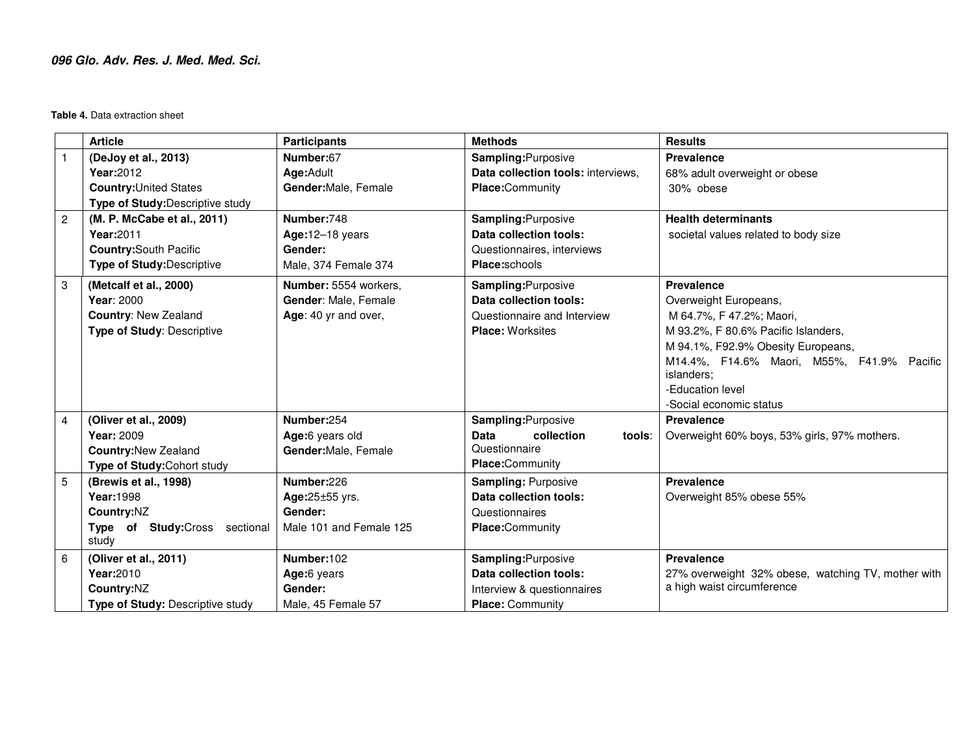## **096 Glo. Adv. Res. J. Med. Med. Sci.**

**Table 4.** Data extraction sheet

|                | <b>Article</b>                    | <b>Participants</b>     | <b>Methods</b>                      | <b>Results</b>                                     |
|----------------|-----------------------------------|-------------------------|-------------------------------------|----------------------------------------------------|
|                | (DeJoy et al., 2013)              | Number:67               | Sampling: Purposive                 | <b>Prevalence</b>                                  |
|                | Year: 2012                        | Age:Adult               | Data collection tools: interviews,  | 68% adult overweight or obese                      |
|                | <b>Country: United States</b>     | Gender: Male, Female    | <b>Place:</b> Community             | 30% obese                                          |
|                | Type of Study: Descriptive study  |                         |                                     |                                                    |
| $\overline{c}$ | (M. P. McCabe et al., 2011)       | Number:748              | Sampling: Purposive                 | <b>Health determinants</b>                         |
|                | Year: 2011                        | Age: $12-18$ years      | Data collection tools:              | societal values related to body size               |
|                | <b>Country:</b> South Pacific     | Gender:                 | Questionnaires, interviews          |                                                    |
|                | <b>Type of Study: Descriptive</b> | Male, 374 Female 374    | Place:schools                       |                                                    |
| 3              | (Metcalf et al., 2000)            | Number: 5554 workers,   | Sampling: Purposive                 | <b>Prevalence</b>                                  |
|                | Year: 2000                        | Gender: Male, Female    | Data collection tools:              | Overweight Europeans,                              |
|                | <b>Country: New Zealand</b>       | Age: 40 yr and over,    | Questionnaire and Interview         | M 64.7%, F 47.2%; Maori,                           |
|                | <b>Type of Study: Descriptive</b> |                         | <b>Place: Worksites</b>             | M 93.2%, F 80.6% Pacific Islanders,                |
|                |                                   |                         |                                     | M 94.1%, F92.9% Obesity Europeans,                 |
|                |                                   |                         |                                     | M14.4%, F14.6% Maori, M55%, F41.9% Pacific         |
|                |                                   |                         |                                     | islanders;                                         |
|                |                                   |                         |                                     | -Education level                                   |
|                |                                   |                         |                                     | -Social economic status                            |
| 4              | (Oliver et al., 2009)             | Number:254              | Sampling: Purposive                 | <b>Prevalence</b>                                  |
|                | <b>Year: 2009</b>                 | Age:6 years old         | <b>Data</b><br>collection<br>tools: | Overweight 60% boys, 53% girls, 97% mothers.       |
|                | <b>Country: New Zealand</b>       | Gender: Male, Female    | Questionnaire                       |                                                    |
|                | Type of Study: Cohort study       |                         | Place:Community                     |                                                    |
| 5              | (Brewis et al., 1998)             | Number:226              | <b>Sampling: Purposive</b>          | Prevalence                                         |
|                | Year:1998                         | Age: 25±55 yrs.         | Data collection tools:              | Overweight 85% obese 55%                           |
|                | Country:NZ                        | Gender:                 | Questionnaires                      |                                                    |
|                | Type of Study:Cross sectional     | Male 101 and Female 125 | Place:Community                     |                                                    |
|                | study                             |                         |                                     |                                                    |
| 6              | (Oliver et al., 2011)             | Number:102              | Sampling: Purposive                 | <b>Prevalence</b>                                  |
|                | Year: 2010                        | Age:6 years             | Data collection tools:              | 27% overweight 32% obese, watching TV, mother with |
|                | Country:NZ                        | Gender:                 | Interview & questionnaires          | a high waist circumference                         |
|                | Type of Study: Descriptive study  | Male, 45 Female 57      | <b>Place: Community</b>             |                                                    |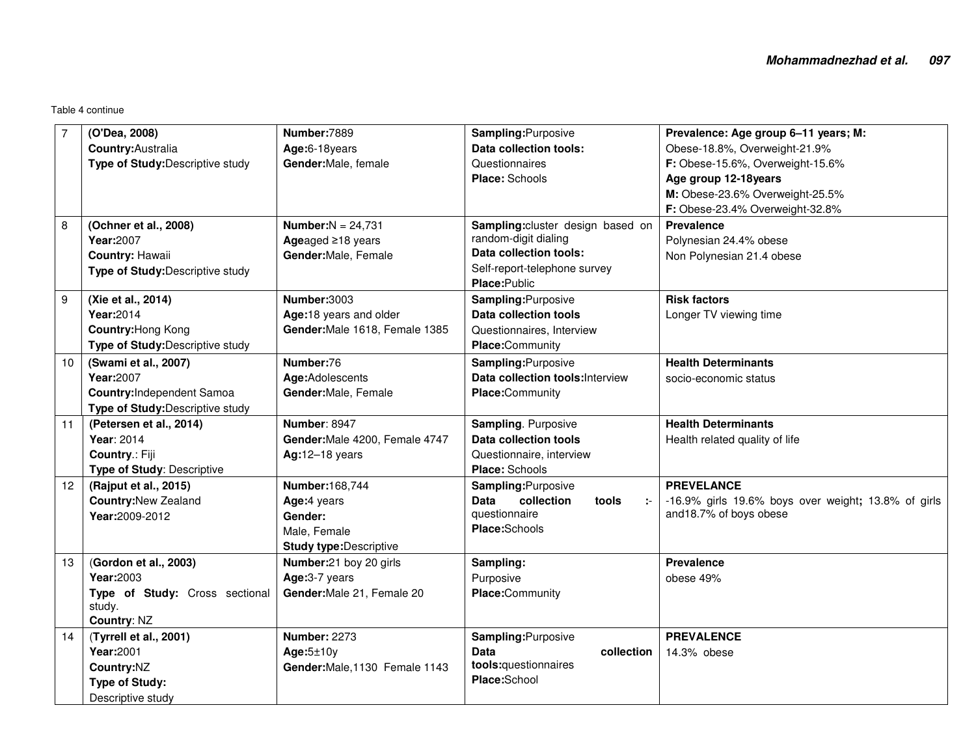| $\overline{7}$   | (O'Dea, 2008)<br>Country: Australia<br>Type of Study: Descriptive study                                    | Number:7889<br>Age:6-18years<br>Gender: Male, female                                              | Sampling: Purposive<br>Data collection tools:<br>Questionnaires<br><b>Place: Schools</b>                                            | Prevalence: Age group 6-11 years; M:<br>Obese-18.8%, Overweight-21.9%<br>F: Obese-15.6%, Overweight-15.6%<br>Age group 12-18years<br>M: Obese-23.6% Overweight-25.5% |
|------------------|------------------------------------------------------------------------------------------------------------|---------------------------------------------------------------------------------------------------|-------------------------------------------------------------------------------------------------------------------------------------|----------------------------------------------------------------------------------------------------------------------------------------------------------------------|
|                  |                                                                                                            |                                                                                                   |                                                                                                                                     | F: Obese-23.4% Overweight-32.8%                                                                                                                                      |
| 8                | (Ochner et al., 2008)<br>Year:2007<br>Country: Hawaii<br>Type of Study: Descriptive study                  | <b>Number:</b> $N = 24,731$<br>Ageaged $\geq$ 18 years<br>Gender: Male, Female                    | Sampling: cluster design based on<br>random-digit dialing<br>Data collection tools:<br>Self-report-telephone survey<br>Place:Public | <b>Prevalence</b><br>Polynesian 24.4% obese<br>Non Polynesian 21.4 obese                                                                                             |
| $\boldsymbol{9}$ | (Xie et al., 2014)<br>Year:2014<br>Country: Hong Kong<br>Type of Study: Descriptive study                  | Number:3003<br>Age:18 years and older<br>Gender: Male 1618, Female 1385                           | Sampling: Purposive<br><b>Data collection tools</b><br>Questionnaires, Interview<br>Place:Community                                 | <b>Risk factors</b><br>Longer TV viewing time                                                                                                                        |
| 10               | (Swami et al., 2007)<br>Year:2007<br><b>Country:</b> Independent Samoa<br>Type of Study: Descriptive study | Number:76<br>Age:Adolescents<br>Gender: Male, Female                                              | Sampling: Purposive<br>Data collection tools: Interview<br>Place:Community                                                          | <b>Health Determinants</b><br>socio-economic status                                                                                                                  |
| 11               | (Petersen et al., 2014)<br>Year: 2014<br>Country.: Fiji<br>Type of Study: Descriptive                      | <b>Number: 8947</b><br>Gender: Male 4200, Female 4747<br>$Ag:12-18$ years                         | Sampling. Purposive<br><b>Data collection tools</b><br>Questionnaire, interview<br>Place: Schools                                   | <b>Health Determinants</b><br>Health related quality of life                                                                                                         |
| 12               | (Rajput et al., 2015)<br><b>Country: New Zealand</b><br>Year:2009-2012                                     | <b>Number:168,744</b><br>Age:4 years<br>Gender:<br>Male, Female<br><b>Study type: Descriptive</b> | Sampling: Purposive<br>collection<br>Data<br>tools<br>questionnaire<br>Place:Schools                                                | <b>PREVELANCE</b><br>-16.9% girls 19.6% boys over weight; 13.8% of girls<br>and 18.7% of boys obese                                                                  |
| 13               | (Gordon et al., 2003)<br>Year:2003<br>Type of Study: Cross sectional<br>study.<br>Country: NZ              | Number:21 boy 20 girls<br>Age:3-7 years<br>Gender: Male 21, Female 20                             | Sampling:<br>Purposive<br>Place:Community                                                                                           | <b>Prevalence</b><br>obese 49%                                                                                                                                       |
| 14               | (Tyrrell et al., 2001)<br>Year:2001<br>Country:NZ<br><b>Type of Study:</b><br>Descriptive study            | <b>Number: 2273</b><br>Age:5±10y<br>Gender: Male, 1130 Female 1143                                | Sampling: Purposive<br><b>Data</b><br>collection<br>tools:questionnaires<br>Place:School                                            | <b>PREVALENCE</b><br>14.3% obese                                                                                                                                     |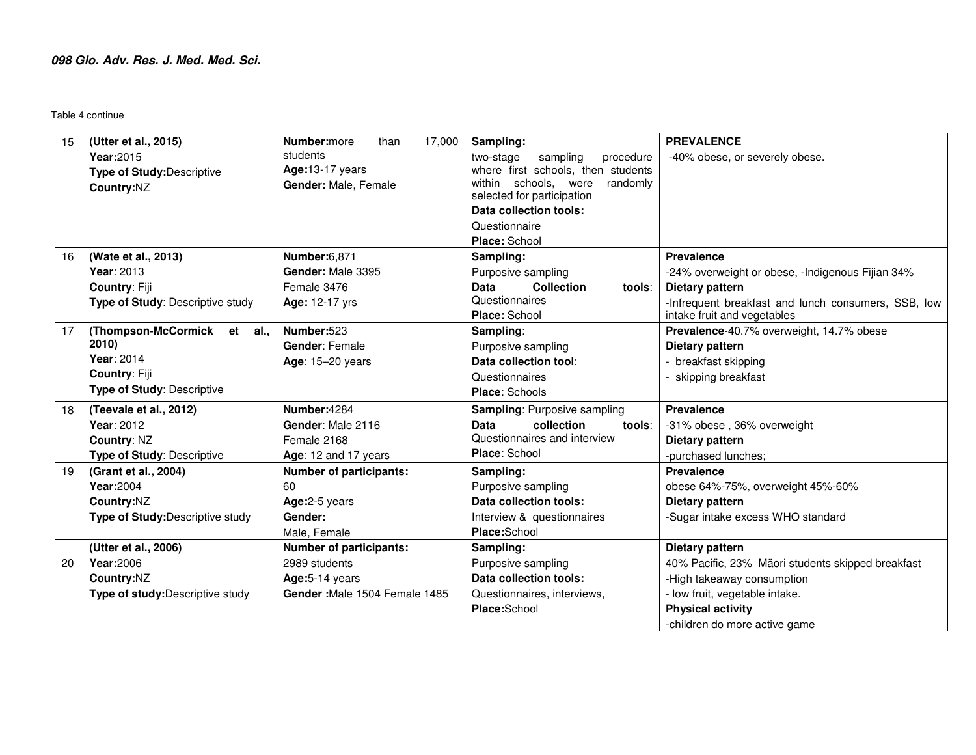| 15 | (Utter et al., 2015)             | Number:more<br>17,000<br>than  | Sampling:                                             | <b>PREVALENCE</b>                                                                  |
|----|----------------------------------|--------------------------------|-------------------------------------------------------|------------------------------------------------------------------------------------|
|    | Year: 2015                       | students                       | sampling<br>procedure<br>two-stage                    | -40% obese, or severely obese.                                                     |
|    | Type of Study: Descriptive       | Age:13-17 years                | where first schools, then students                    |                                                                                    |
|    | Country:NZ                       | Gender: Male, Female           | within schools, were<br>randomly                      |                                                                                    |
|    |                                  |                                | selected for participation                            |                                                                                    |
|    |                                  |                                | Data collection tools:                                |                                                                                    |
|    |                                  |                                | Questionnaire                                         |                                                                                    |
| 16 |                                  |                                | Place: School                                         | <b>Prevalence</b>                                                                  |
|    | (Wate et al., 2013)              | <b>Number:6,871</b>            | Sampling:                                             |                                                                                    |
|    | Year: 2013                       | Gender: Male 3395              | Purposive sampling                                    | -24% overweight or obese, -Indigenous Fijian 34%                                   |
|    | <b>Country: Fiji</b>             | Female 3476                    | Data<br><b>Collection</b><br>tools:<br>Questionnaires | Dietary pattern                                                                    |
|    | Type of Study: Descriptive study | Age: 12-17 yrs                 | Place: School                                         | -Infrequent breakfast and lunch consumers, SSB, low<br>intake fruit and vegetables |
| 17 | (Thompson-McCormick et<br>al.,   | Number:523                     | Sampling:                                             | Prevalence-40.7% overweight, 14.7% obese                                           |
|    | 2010)                            | Gender: Female                 | Purposive sampling                                    | Dietary pattern                                                                    |
|    | Year: 2014                       | Age: 15-20 years               | Data collection tool:                                 | - breakfast skipping                                                               |
|    | <b>Country: Fiji</b>             |                                | Questionnaires                                        |                                                                                    |
|    | Type of Study: Descriptive       |                                | <b>Place: Schools</b>                                 | skipping breakfast                                                                 |
|    |                                  |                                |                                                       |                                                                                    |
| 18 | (Teevale et al., 2012)           | Number: 4284                   | Sampling: Purposive sampling                          | <b>Prevalence</b>                                                                  |
|    | Year: 2012                       | Gender: Male 2116              | collection<br><b>Data</b><br>tools:                   | -31% obese, 36% overweight                                                         |
|    | Country: NZ                      | Female 2168                    | Questionnaires and interview<br>Place: School         | Dietary pattern                                                                    |
|    | Type of Study: Descriptive       | Age: 12 and 17 years           |                                                       | -purchased lunches;                                                                |
| 19 | (Grant et al., 2004)             | <b>Number of participants:</b> | Sampling:                                             | <b>Prevalence</b>                                                                  |
|    | Year:2004                        | 60                             | Purposive sampling                                    | obese 64%-75%, overweight 45%-60%                                                  |
|    | Country:NZ                       | Age:2-5 years                  | Data collection tools:                                | Dietary pattern                                                                    |
|    | Type of Study: Descriptive study | Gender:                        | Interview & questionnaires                            | -Sugar intake excess WHO standard                                                  |
|    |                                  | Male, Female                   | Place:School                                          |                                                                                    |
|    | (Utter et al., 2006)             | <b>Number of participants:</b> | Sampling:                                             | Dietary pattern                                                                    |
| 20 | Year:2006                        | 2989 students                  | Purposive sampling                                    | 40% Pacific, 23% Mäori students skipped breakfast                                  |
|    | Country:NZ                       | Age: 5-14 years                | Data collection tools:                                | -High takeaway consumption                                                         |
|    | Type of study: Descriptive study | Gender: Male 1504 Female 1485  | Questionnaires, interviews,                           | - low fruit, vegetable intake.                                                     |
|    |                                  |                                | Place:School                                          | <b>Physical activity</b>                                                           |
|    |                                  |                                |                                                       | -children do more active game                                                      |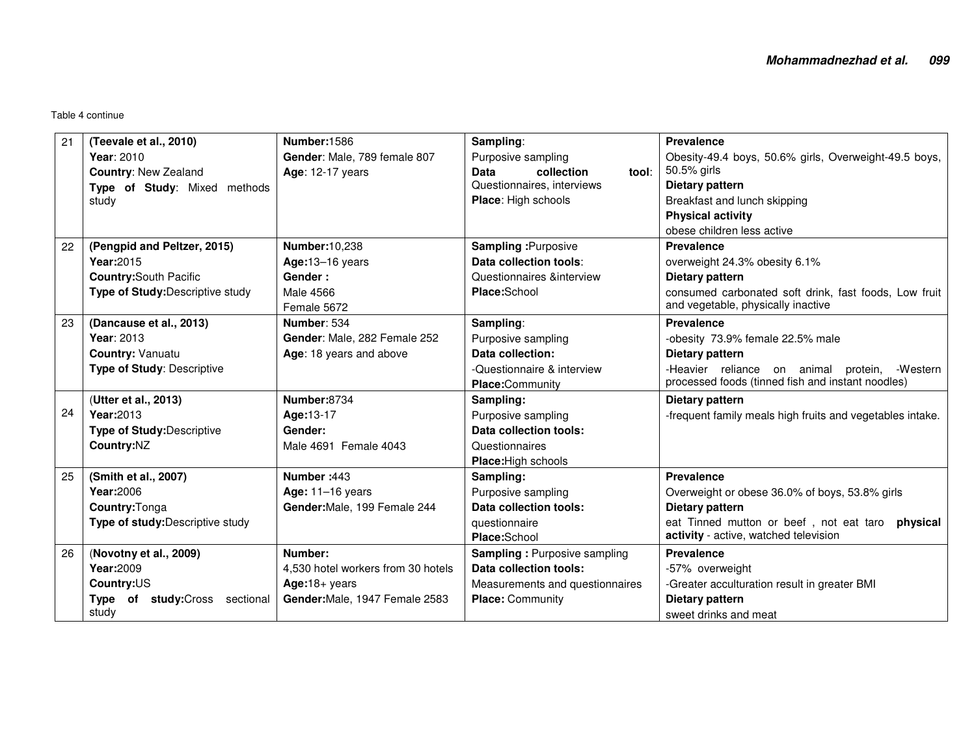| 21 | (Teevale et al., 2010)           | <b>Number:1586</b>                 | Sampling:                           | Prevalence                                                |
|----|----------------------------------|------------------------------------|-------------------------------------|-----------------------------------------------------------|
|    | Year: 2010                       | Gender: Male, 789 female 807       | Purposive sampling                  | Obesity-49.4 boys, 50.6% girls, Overweight-49.5 boys,     |
|    | <b>Country: New Zealand</b>      | Age: 12-17 years                   | <b>Data</b><br>collection<br>tool:  | 50.5% girls                                               |
|    | Type of Study: Mixed methods     |                                    | Questionnaires, interviews          | Dietary pattern                                           |
|    | study                            |                                    | Place: High schools                 | Breakfast and lunch skipping                              |
|    |                                  |                                    |                                     | <b>Physical activity</b>                                  |
|    |                                  |                                    |                                     | obese children less active                                |
| 22 | (Pengpid and Peltzer, 2015)      | <b>Number:10,238</b>               | <b>Sampling : Purposive</b>         | <b>Prevalence</b>                                         |
|    | Year: 2015                       | Age: $13-16$ years                 | Data collection tools:              | overweight 24.3% obesity 6.1%                             |
|    | <b>Country: South Pacific</b>    | Gender:                            | Questionnaires &interview           | Dietary pattern                                           |
|    | Type of Study: Descriptive study | Male 4566                          | Place:School                        | consumed carbonated soft drink, fast foods, Low fruit     |
|    |                                  | Female 5672                        |                                     | and vegetable, physically inactive                        |
| 23 | (Dancause et al., 2013)          | Number: 534                        | Sampling:                           | <b>Prevalence</b>                                         |
|    | Year: 2013                       | Gender: Male, 282 Female 252       | Purposive sampling                  | -obesity 73.9% female 22.5% male                          |
|    | <b>Country: Vanuatu</b>          | Age: 18 years and above            | Data collection:                    | Dietary pattern                                           |
|    | Type of Study: Descriptive       |                                    | -Questionnaire & interview          | -Heavier reliance on animal protein,<br>-Western          |
|    |                                  |                                    | Place:Community                     | processed foods (tinned fish and instant noodles)         |
|    | (Utter et al., 2013)             | Number:8734                        | Sampling:                           | Dietary pattern                                           |
| 24 | Year:2013                        | Age:13-17                          | Purposive sampling                  | -frequent family meals high fruits and vegetables intake. |
|    | Type of Study: Descriptive       | Gender:                            | Data collection tools:              |                                                           |
|    | Country:NZ                       | Male 4691 Female 4043              | Questionnaires                      |                                                           |
|    |                                  |                                    | Place: High schools                 |                                                           |
| 25 | (Smith et al., 2007)             | Number: 443                        | Sampling:                           | <b>Prevalence</b>                                         |
|    | Year:2006                        | Age: $11-16$ years                 | Purposive sampling                  | Overweight or obese 36.0% of boys, 53.8% girls            |
|    | Country: Tonga                   | Gender: Male, 199 Female 244       | Data collection tools:              | Dietary pattern                                           |
|    | Type of study: Descriptive study |                                    | questionnaire                       | eat Tinned mutton or beef, not eat taro physical          |
|    |                                  |                                    | Place:School                        | activity - active, watched television                     |
| 26 | (Novotny et al., 2009)           | Number:                            | <b>Sampling: Purposive sampling</b> | <b>Prevalence</b>                                         |
|    | Year:2009                        | 4,530 hotel workers from 30 hotels | Data collection tools:              | -57% overweight                                           |
|    | Country:US                       | $Age:18 + years$                   | Measurements and questionnaires     | -Greater acculturation result in greater BMI              |
|    | Type of study: Cross sectional   | Gender: Male, 1947 Female 2583     | <b>Place: Community</b>             | Dietary pattern                                           |
|    | study                            |                                    |                                     | sweet drinks and meat                                     |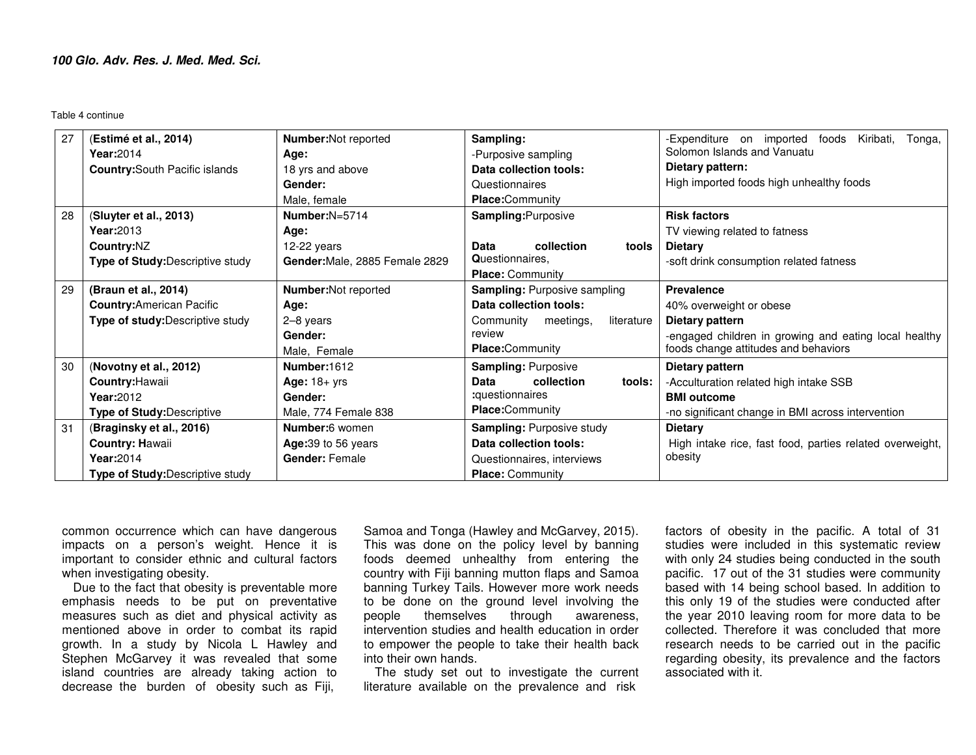| 27       | (Estimé et al., 2014)<br>Year: 2014<br><b>Country:</b> South Pacific islands                                                                       | <b>Number:</b> Not reported<br>Age:<br>18 yrs and above<br>Gender:<br>Male, female                         | Sampling:<br>-Purposive sampling<br>Data collection tools:<br>Questionnaires<br><b>Place:</b> Community                                                               | -Expenditure on imported foods<br>Kiribati,<br>Tonga,<br>Solomon Islands and Vanuatu<br>Dietary pattern:<br>High imported foods high unhealthy foods                                                               |
|----------|----------------------------------------------------------------------------------------------------------------------------------------------------|------------------------------------------------------------------------------------------------------------|-----------------------------------------------------------------------------------------------------------------------------------------------------------------------|--------------------------------------------------------------------------------------------------------------------------------------------------------------------------------------------------------------------|
| 28       | (Sluyter et al., 2013)<br>Year: 2013<br>Country:NZ<br>Type of Study: Descriptive study                                                             | Number: $N=5714$<br>Age:<br>12-22 years<br>Gender: Male, 2885 Female 2829                                  | Sampling: Purposive<br>Data<br>collection<br>tools<br>Questionnaires.<br><b>Place: Community</b>                                                                      | <b>Risk factors</b><br>TV viewing related to fatness<br><b>Dietary</b><br>-soft drink consumption related fatness                                                                                                  |
| 29       | (Braun et al., 2014)<br><b>Country:</b> American Pacific<br>Type of study: Descriptive study                                                       | <b>Number:</b> Not reported<br>Age:<br>2-8 years<br>Gender:<br>Male, Female                                | <b>Sampling: Purposive sampling</b><br>Data collection tools:<br>Community<br>meetings,<br>literature<br>review<br><b>Place:Community</b>                             | <b>Prevalence</b><br>40% overweight or obese<br>Dietary pattern<br>-engaged children in growing and eating local healthy<br>foods change attitudes and behaviors                                                   |
| 30<br>31 | (Novotny et al., 2012)<br>Country: Hawaii<br>Year: 2012<br><b>Type of Study: Descriptive</b><br>(Braginsky et al., 2016)<br><b>Country: Hawaii</b> | Number:1612<br>Age: $18 + yrs$<br>Gender:<br>Male, 774 Female 838<br>Number:6 women<br>Age: 39 to 56 years | <b>Sampling: Purposive</b><br>collection<br>Data<br>tools:<br>:questionnaires<br><b>Place:Community</b><br><b>Sampling: Purposive study</b><br>Data collection tools: | Dietary pattern<br>-Acculturation related high intake SSB<br><b>BMI</b> outcome<br>-no significant change in BMI across intervention<br><b>Dietary</b><br>High intake rice, fast food, parties related overweight, |
|          | Year: 2014<br><b>Type of Study: Descriptive study</b>                                                                                              | Gender: Female                                                                                             | Questionnaires, interviews<br><b>Place: Community</b>                                                                                                                 | obesity                                                                                                                                                                                                            |

common occurrence which can have dangerous impacts on a person's weight. Hence it is important to consider ethnic and cultural factors when investigating obesity.

 Due to the fact that obesity is preventable more emphasis needs to be put on preventative measures such as diet and physical activity as mentioned above in order to combat its rapid growth. In a study by Nicola L Hawley and Stephen McGarvey it was revealed that some island countries are already taking action to decrease the burden of obesity such as Fiji,

Samoa and Tonga (Hawley and McGarvey, 2015). This was done on the policy level by banning foods deemed unhealthy from entering the country with Fiji banning mutton flaps and Samoa banning Turkey Tails. However more work needs to be done on the ground level involving the people themselves through awareness, intervention studies and health education in order to empower the people to take their health back into their own hands.

 The study set out to investigate the current literature available on the prevalence and risk

factors of obesity in the pacific. A total of 31 studies were included in this systematic review with only 24 studies being conducted in the south pacific. 17 out of the 31 studies were community based with 14 being school based. In addition to this only 19 of the studies were conducted after the year 2010 leaving room for more data to be collected. Therefore it was concluded that more research needs to be carried out in the pacific regarding obesity, its prevalence and the factors associated with it.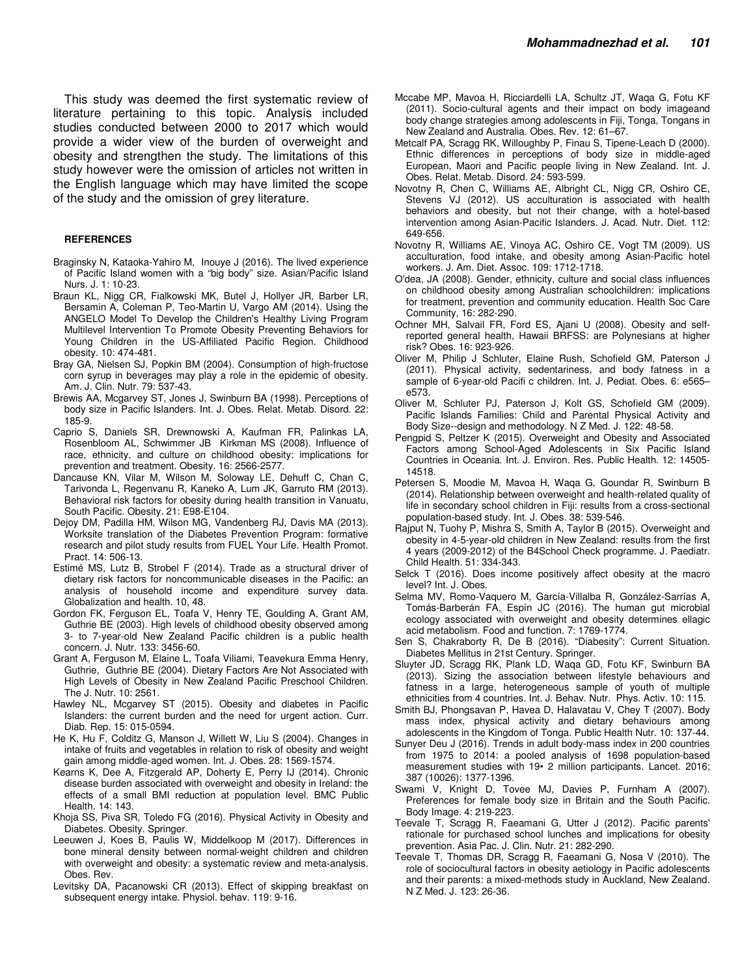This study was deemed the first systematic review of literature pertaining to this topic. Analysis included studies conducted between 2000 to 2017 which would provide a wider view of the burden of overweight and obesity and strengthen the study. The limitations of this study however were the omission of articles not written in the English language which may have limited the scope of the study and the omission of grey literature.

#### **REFERENCES**

- Braginsky N, Kataoka-Yahiro M, Inouye J (2016). The lived experience of Pacific Island women with a "big body" size. Asian/Pacific Island Nurs. J. 1: 10-23.
- Braun KL, Nigg CR, Fialkowski MK, Butel J, Hollyer JR, Barber LR, Bersamin A, Coleman P, Teo-Martin U, Vargo AM (2014). Using the ANGELO Model To Develop the Children's Healthy Living Program Multilevel Intervention To Promote Obesity Preventing Behaviors for Young Children in the US-Affiliated Pacific Region. Childhood obesity. 10: 474-481.
- Bray GA, Nielsen SJ, Popkin BM (2004). Consumption of high-fructose corn syrup in beverages may play a role in the epidemic of obesity. Am. J. Clin. Nutr. 79: 537-43.
- Brewis AA, Mcgarvey ST, Jones J, Swinburn BA (1998). Perceptions of body size in Pacific Islanders. Int. J. Obes. Relat. Metab. Disord. 22: 185-9.
- Caprio S, Daniels SR, Drewnowski A, Kaufman FR, Palinkas LA, Rosenbloom AL, Schwimmer JB Kirkman MS (2008). Influence of race, ethnicity, and culture on childhood obesity: implications for prevention and treatment. Obesity. 16: 2566-2577.
- Dancause KN, Vilar M, Wilson M, Soloway LE, Dehuff C, Chan C, Tarivonda L, Regenvanu R, Kaneko A, Lum JK, Garruto RM (2013). Behavioral risk factors for obesity during health transition in Vanuatu, South Pacific. Obesity. 21: E98-E104.
- Dejoy DM, Padilla HM, Wilson MG, Vandenberg RJ, Davis MA (2013). Worksite translation of the Diabetes Prevention Program: formative research and pilot study results from FUEL Your Life. Health Promot. Pract. 14: 506-13.
- Estimé MS, Lutz B, Strobel F (2014). Trade as a structural driver of dietary risk factors for noncommunicable diseases in the Pacific: an analysis of household income and expenditure survey data. Globalization and health. 10, 48.
- Gordon FK, Ferguson EL, Toafa V, Henry TE, Goulding A, Grant AM, Guthrie BE (2003). High levels of childhood obesity observed among 3- to 7-year-old New Zealand Pacific children is a public health concern. J. Nutr. 133: 3456-60.
- Grant A, Ferguson M, Elaine L, Toafa Viliami, Teavekura Emma Henry, Guthrie, Guthrie BE (2004). Dietary Factors Are Not Associated with High Levels of Obesity in New Zealand Pacific Preschool Children. The J. Nutr. 10: 2561.
- Hawley NL, Mcgarvey ST (2015). Obesity and diabetes in Pacific Islanders: the current burden and the need for urgent action. Curr. Diab. Rep. 15: 015-0594.
- He K, Hu F, Colditz G, Manson J, Willett W, Liu S (2004). Changes in intake of fruits and vegetables in relation to risk of obesity and weight gain among middle-aged women. Int. J. Obes. 28: 1569-1574.
- Kearns K, Dee A, Fitzgerald AP, Doherty E, Perry IJ (2014). Chronic disease burden associated with overweight and obesity in Ireland: the effects of a small BMI reduction at population level. BMC Public Health. 14: 143.
- Khoja SS, Piva SR, Toledo FG (2016). Physical Activity in Obesity and Diabetes. Obesity. Springer.
- Leeuwen J, Koes B, Paulis W, Middelkoop M (2017). Differences in bone mineral density between normal‐weight children and children with overweight and obesity: a systematic review and meta-analysis. Obes. Rev.
- Levitsky DA, Pacanowski CR (2013). Effect of skipping breakfast on subsequent energy intake. Physiol. behav. 119: 9-16.
- Mccabe MP, Mavoa H, Ricciardelli LA, Schultz JT, Waqa G, Fotu KF (2011). Socio-cultural agents and their impact on body imageand body change strategies among adolescents in Fiji, Tonga, Tongans in New Zealand and Australia. Obes. Rev. 12: 61–67.
- Metcalf PA, Scragg RK, Willoughby P, Finau S, Tipene-Leach D (2000). Ethnic differences in perceptions of body size in middle-aged European, Maori and Pacific people living in New Zealand. Int. J. Obes. Relat. Metab. Disord. 24: 593-599.
- Novotny R, Chen C, Williams AE, Albright CL, Nigg CR, Oshiro CE, Stevens VJ (2012). US acculturation is associated with health behaviors and obesity, but not their change, with a hotel-based intervention among Asian-Pacific Islanders. J. Acad. Nutr. Diet. 112: 649-656.
- Novotny R, Williams AE, Vinoya AC, Oshiro CE, Vogt TM (2009). US acculturation, food intake, and obesity among Asian-Pacific hotel workers. J. Am. Diet. Assoc. 109: 1712-1718.
- O'dea, JA (2008). Gender, ethnicity, culture and social class influences on childhood obesity among Australian schoolchildren: implications for treatment, prevention and community education. Health Soc Care Community, 16: 282-290.
- Ochner MH, Salvail FR, Ford ES, Ajani U (2008). Obesity and selfreported general health, Hawaii BRFSS: are Polynesians at higher risk? Obes. 16: 923-926.
- Oliver M, Philip J Schluter, Elaine Rush, Schofield GM, Paterson J (2011). Physical activity, sedentariness, and body fatness in a sample of 6-year-old Pacifi c children. Int. J. Pediat. Obes. 6: e565– e573.
- Oliver M, Schluter PJ, Paterson J, Kolt GS, Schofield GM (2009). Pacific Islands Families: Child and Parental Physical Activity and Body Size--design and methodology. N Z Med. J. 122: 48-58.
- Pengpid S, Peltzer K (2015). Overweight and Obesity and Associated Factors among School-Aged Adolescents in Six Pacific Island Countries in Oceania. Int. J. Environ. Res. Public Health. 12: 14505- 14518.
- Petersen S, Moodie M, Mavoa H, Waqa G, Goundar R, Swinburn B (2014). Relationship between overweight and health-related quality of life in secondary school children in Fiji: results from a cross-sectional population-based study. Int. J. Obes. 38: 539-546.
- Rajput N, Tuohy P, Mishra S, Smith A, Taylor B (2015). Overweight and obesity in 4-5-year-old children in New Zealand: results from the first 4 years (2009-2012) of the B4School Check programme. J. Paediatr. Child Health. 51: 334-343.
- Selck T (2016). Does income positively affect obesity at the macro level? Int. J. Obes.
- Selma MV, Romo-Vaquero M, García-Villalba R, González-Sarrías A, Tomás-Barberán FA, Espín JC (2016). The human gut microbial ecology associated with overweight and obesity determines ellagic acid metabolism. Food and function. 7: 1769-1774.
- Sen S, Chakraborty R, De B (2016). "Diabesity": Current Situation. Diabetes Mellitus in 21st Century. Springer.
- Sluyter JD, Scragg RK, Plank LD, Waqa GD, Fotu KF, Swinburn BA (2013). Sizing the association between lifestyle behaviours and fatness in a large, heterogeneous sample of youth of multiple ethnicities from 4 countries. Int. J. Behav. Nutr. Phys. Activ. 10: 115.
- Smith BJ, Phongsavan P, Havea D, Halavatau V, Chey T (2007). Body mass index, physical activity and dietary behaviours among adolescents in the Kingdom of Tonga. Public Health Nutr. 10: 137-44.
- Sunyer Deu J (2016). Trends in adult body-mass index in 200 countries from 1975 to 2014: a pooled analysis of 1698 population-based measurement studies with 19• 2 million participants. Lancet. 2016; 387 (10026): 1377-1396.
- Swami V, Knight D, Tovee MJ, Davies P, Furnham A (2007). Preferences for female body size in Britain and the South Pacific. Body Image. 4: 219-223.
- Teevale T, Scragg R, Faeamani G, Utter J (2012). Pacific parents' rationale for purchased school lunches and implications for obesity prevention. Asia Pac. J. Clin. Nutr. 21: 282-290.
- Teevale T, Thomas DR, Scragg R, Faeamani G, Nosa V (2010). The role of sociocultural factors in obesity aetiology in Pacific adolescents and their parents: a mixed-methods study in Auckland, New Zealand. N Z Med. J. 123: 26-36.